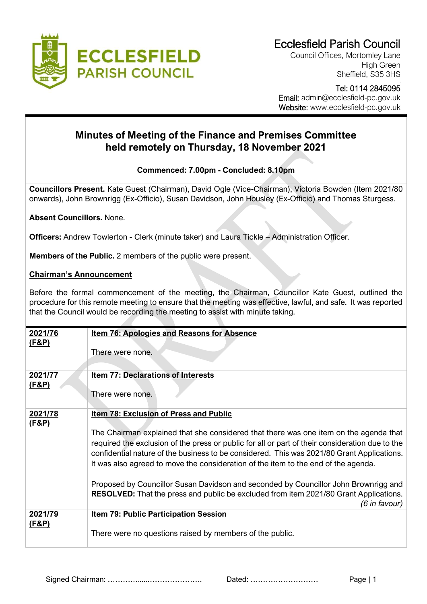

Council Offices, Mortomley Lane High Green Sheffield, S35 3HS

 Tel: 0114 2845095 Email: admin@ecclesfield-pc.gov.uk Website: www.ecclesfield-pc.gov.uk

## **Minutes of Meeting of the Finance and Premises Committee held remotely on Thursday, 18 November 2021**

## **Commenced: 7.00pm - Concluded: 8.10pm**

**Councillors Present.** Kate Guest (Chairman), David Ogle (Vice-Chairman), Victoria Bowden (Item 2021/80 onwards), John Brownrigg (Ex-Officio), Susan Davidson, John Housley (Ex-Officio) and Thomas Sturgess.

**Absent Councillors.** None.

**Officers:** Andrew Towlerton - Clerk (minute taker) and Laura Tickle – Administration Officer.

**Members of the Public.** 2 members of the public were present.

## **Chairman's Announcement**

Before the formal commencement of the meeting, the Chairman, Councillor Kate Guest, outlined the procedure for this remote meeting to ensure that the meeting was effective, lawful, and safe. It was reported that the Council would be recording the meeting to assist with minute taking.

| 2021/76<br><u>(F&amp;P)</u> | <b>Item 76: Apologies and Reasons for Absence</b>                                                                                                                                                                                                                                                                                                                            |
|-----------------------------|------------------------------------------------------------------------------------------------------------------------------------------------------------------------------------------------------------------------------------------------------------------------------------------------------------------------------------------------------------------------------|
|                             | There were none.                                                                                                                                                                                                                                                                                                                                                             |
| 2021/77<br><u>(F&amp;P)</u> | <b>Item 77: Declarations of Interests</b>                                                                                                                                                                                                                                                                                                                                    |
|                             | There were none.                                                                                                                                                                                                                                                                                                                                                             |
| 2021/78<br><u>(F&amp;P)</u> | <b>Item 78: Exclusion of Press and Public</b>                                                                                                                                                                                                                                                                                                                                |
|                             | The Chairman explained that she considered that there was one item on the agenda that<br>required the exclusion of the press or public for all or part of their consideration due to the<br>confidential nature of the business to be considered. This was 2021/80 Grant Applications.<br>It was also agreed to move the consideration of the item to the end of the agenda. |
|                             | Proposed by Councillor Susan Davidson and seconded by Councillor John Brownrigg and<br><b>RESOLVED:</b> That the press and public be excluded from item 2021/80 Grant Applications.<br>(6 in favour)                                                                                                                                                                         |
| 2021/79                     | <b>Item 79: Public Participation Session</b>                                                                                                                                                                                                                                                                                                                                 |
| <u>(F&amp;P)</u>            | There were no questions raised by members of the public.                                                                                                                                                                                                                                                                                                                     |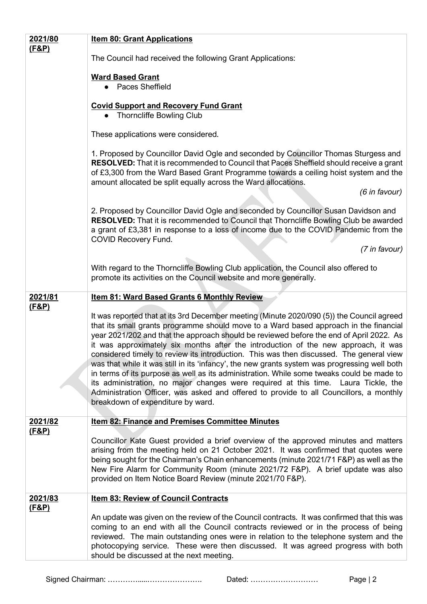| 2021/80          | <b>Item 80: Grant Applications</b>                                                                                                                                                                                                                                                                                                                                                                                                                                                                                                                              |
|------------------|-----------------------------------------------------------------------------------------------------------------------------------------------------------------------------------------------------------------------------------------------------------------------------------------------------------------------------------------------------------------------------------------------------------------------------------------------------------------------------------------------------------------------------------------------------------------|
| <u>(F&amp;P)</u> | The Council had received the following Grant Applications:                                                                                                                                                                                                                                                                                                                                                                                                                                                                                                      |
|                  | <b>Ward Based Grant</b>                                                                                                                                                                                                                                                                                                                                                                                                                                                                                                                                         |
|                  | • Paces Sheffield                                                                                                                                                                                                                                                                                                                                                                                                                                                                                                                                               |
|                  | <b>Covid Support and Recovery Fund Grant</b><br>• Thorncliffe Bowling Club                                                                                                                                                                                                                                                                                                                                                                                                                                                                                      |
|                  | These applications were considered.                                                                                                                                                                                                                                                                                                                                                                                                                                                                                                                             |
|                  | 1. Proposed by Councillor David Ogle and seconded by Councillor Thomas Sturgess and<br><b>RESOLVED:</b> That it is recommended to Council that Paces Sheffield should receive a grant<br>of £3,300 from the Ward Based Grant Programme towards a ceiling hoist system and the<br>amount allocated be split equally across the Ward allocations.                                                                                                                                                                                                                 |
|                  | $(6$ in favour)                                                                                                                                                                                                                                                                                                                                                                                                                                                                                                                                                 |
|                  | 2. Proposed by Councillor David Ogle and seconded by Councillor Susan Davidson and<br><b>RESOLVED:</b> That it is recommended to Council that Thorncliffe Bowling Club be awarded<br>a grant of £3,381 in response to a loss of income due to the COVID Pandemic from the<br><b>COVID Recovery Fund.</b>                                                                                                                                                                                                                                                        |
|                  | (7 in favour)                                                                                                                                                                                                                                                                                                                                                                                                                                                                                                                                                   |
|                  | With regard to the Thorncliffe Bowling Club application, the Council also offered to<br>promote its activities on the Council website and more generally.                                                                                                                                                                                                                                                                                                                                                                                                       |
| 2021/81          | <b>Item 81: Ward Based Grants 6 Monthly Review</b>                                                                                                                                                                                                                                                                                                                                                                                                                                                                                                              |
| <u>(F&amp;P)</u> | It was reported that at its 3rd December meeting (Minute 2020/090 (5)) the Council agreed<br>that its small grants programme should move to a Ward based approach in the financial<br>year 2021/202 and that the approach should be reviewed before the end of April 2022. As<br>it was approximately six months after the introduction of the new approach, it was<br>considered timely to review its introduction. This was then discussed. The general view<br>was that while it was still in its 'infancy', the new grants system was progressing well both |
|                  | in terms of its purpose as well as its administration. While some tweaks could be made to<br>its administration, no major changes were required at this time. Laura Tickle, the<br>Administration Officer, was asked and offered to provide to all Councillors, a monthly<br>breakdown of expenditure by ward.                                                                                                                                                                                                                                                  |
| 2021/82          | <b>Item 82: Finance and Premises Committee Minutes</b>                                                                                                                                                                                                                                                                                                                                                                                                                                                                                                          |
| <u>(F&amp;P)</u> | Councillor Kate Guest provided a brief overview of the approved minutes and matters<br>arising from the meeting held on 21 October 2021. It was confirmed that quotes were<br>being sought for the Chairman's Chain enhancements (minute 2021/71 F&P) as well as the<br>New Fire Alarm for Community Room (minute 2021/72 F&P). A brief update was also<br>provided on Item Notice Board Review (minute 2021/70 F&P).                                                                                                                                           |
| 2021/83          | <b>Item 83: Review of Council Contracts</b>                                                                                                                                                                                                                                                                                                                                                                                                                                                                                                                     |
| <u>(F&amp;P)</u> | An update was given on the review of the Council contracts. It was confirmed that this was<br>coming to an end with all the Council contracts reviewed or in the process of being<br>reviewed. The main outstanding ones were in relation to the telephone system and the<br>photocopying service. These were then discussed. It was agreed progress with both<br>should be discussed at the next meeting.                                                                                                                                                      |